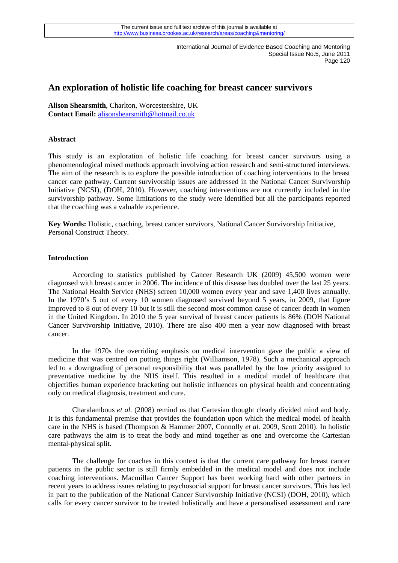# **An exploration of holistic life coaching for breast cancer survivors**

**Alison Shearsmith**, Charlton, Worcestershire, UK **Contact Email:** alisonshearsmith@hotmail.co.uk

### **Abstract**

This study is an exploration of holistic life coaching for breast cancer survivors using a phenomenological mixed methods approach involving action research and semi-structured interviews. The aim of the research is to explore the possible introduction of coaching interventions to the breast cancer care pathway. Current survivorship issues are addressed in the National Cancer Survivorship Initiative (NCSI), (DOH, 2010). However, coaching interventions are not currently included in the survivorship pathway. Some limitations to the study were identified but all the participants reported that the coaching was a valuable experience.

**Key Words:** Holistic, coaching, breast cancer survivors, National Cancer Survivorship Initiative, Personal Construct Theory.

### **Introduction**

According to statistics published by Cancer Research UK (2009) 45,500 women were diagnosed with breast cancer in 2006. The incidence of this disease has doubled over the last 25 years. The National Health Service (NHS) screen 10,000 women every year and save 1,400 lives annually. In the 1970's 5 out of every 10 women diagnosed survived beyond 5 years, in 2009, that figure improved to 8 out of every 10 but it is still the second most common cause of cancer death in women in the United Kingdom. In 2010 the 5 year survival of breast cancer patients is 86% (DOH National Cancer Survivorship Initiative, 2010). There are also 400 men a year now diagnosed with breast cancer.

In the 1970s the overriding emphasis on medical intervention gave the public a view of medicine that was centred on putting things right (Williamson, 1978). Such a mechanical approach led to a downgrading of personal responsibility that was paralleled by the low priority assigned to preventative medicine by the NHS itself. This resulted in a medical model of healthcare that objectifies human experience bracketing out holistic influences on physical health and concentrating only on medical diagnosis, treatment and cure.

Charalambous *et al.* (2008) remind us that Cartesian thought clearly divided mind and body. It is this fundamental premise that provides the foundation upon which the medical model of health care in the NHS is based (Thompson & Hammer 2007, Connolly *et al.* 2009, Scott 2010). In holistic care pathways the aim is to treat the body and mind together as one and overcome the Cartesian mental-physical split.

The challenge for coaches in this context is that the current care pathway for breast cancer patients in the public sector is still firmly embedded in the medical model and does not include coaching interventions. Macmillan Cancer Support has been working hard with other partners in recent years to address issues relating to psychosocial support for breast cancer survivors. This has led in part to the publication of the National Cancer Survivorship Initiative (NCSI) (DOH, 2010), which calls for every cancer survivor to be treated holistically and have a personalised assessment and care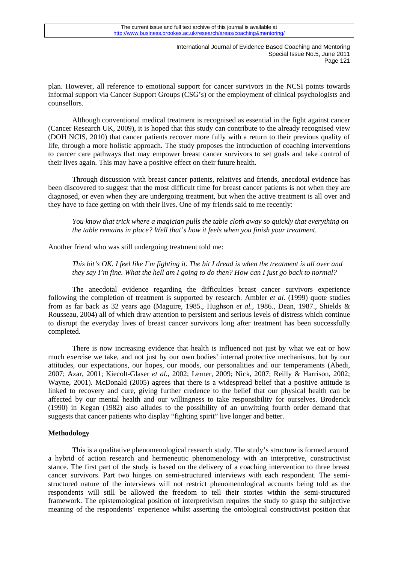plan. However, all reference to emotional support for cancer survivors in the NCSI points towards informal support via Cancer Support Groups (CSG's) or the employment of clinical psychologists and counsellors.

Although conventional medical treatment is recognised as essential in the fight against cancer (Cancer Research UK, 2009), it is hoped that this study can contribute to the already recognised view (DOH NCIS, 2010) that cancer patients recover more fully with a return to their previous quality of life, through a more holistic approach. The study proposes the introduction of coaching interventions to cancer care pathways that may empower breast cancer survivors to set goals and take control of their lives again. This may have a positive effect on their future health.

Through discussion with breast cancer patients, relatives and friends, anecdotal evidence has been discovered to suggest that the most difficult time for breast cancer patients is not when they are diagnosed, or even when they are undergoing treatment, but when the active treatment is all over and they have to face getting on with their lives. One of my friends said to me recently:

*You know that trick where a magician pulls the table cloth away so quickly that everything on the table remains in place? Well that's how it feels when you finish your treatment.* 

Another friend who was still undergoing treatment told me:

*This bit's OK. I feel like I'm fighting it. The bit I dread is when the treatment is all over and they say I'm fine. What the hell am I going to do then? How can I just go back to normal?* 

The anecdotal evidence regarding the difficulties breast cancer survivors experience following the completion of treatment is supported by research. Ambler *et al.* (1999) quote studies from as far back as 32 years ago (Maguire, 1985., Hughson *et al.*, 1986., Dean, 1987., Shields & Rousseau, 2004) all of which draw attention to persistent and serious levels of distress which continue to disrupt the everyday lives of breast cancer survivors long after treatment has been successfully completed.

There is now increasing evidence that health is influenced not just by what we eat or how much exercise we take, and not just by our own bodies' internal protective mechanisms, but by our attitudes, our expectations, our hopes, our moods, our personalities and our temperaments (Abedi, 2007; Azar, 2001; Kiecolt-Glaser *et al.,* 2002; Lerner, 2009; Nick, 2007; Reilly & Harrison, 2002; Wayne, 2001). McDonald (2005) agrees that there is a widespread belief that a positive attitude is linked to recovery and cure, giving further credence to the belief that our physical health can be affected by our mental health and our willingness to take responsibility for ourselves. Broderick (1990) in Kegan (1982) also alludes to the possibility of an unwitting fourth order demand that suggests that cancer patients who display "fighting spirit" live longer and better.

### **Methodology**

This is a qualitative phenomenological research study. The study's structure is formed around a hybrid of action research and hermeneutic phenomenology with an interpretive, constructivist stance. The first part of the study is based on the delivery of a coaching intervention to three breast cancer survivors. Part two hinges on semi-structured interviews with each respondent. The semistructured nature of the interviews will not restrict phenomenological accounts being told as the respondents will still be allowed the freedom to tell their stories within the semi-structured framework. The epistemological position of interpretivism requires the study to grasp the subjective meaning of the respondents' experience whilst asserting the ontological constructivist position that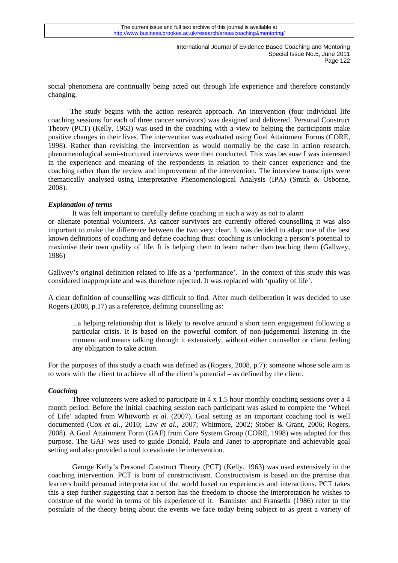social phenomena are continually being acted out through life experience and therefore constantly changing.

 The study begins with the action research approach. An intervention (four individual life coaching sessions for each of three cancer survivors) was designed and delivered. Personal Construct Theory (PCT) (Kelly, 1963) was used in the coaching with a view to helping the participants make positive changes in their lives. The intervention was evaluated using Goal Attainment Forms (CORE, 1998). Rather than revisiting the intervention as would normally be the case in action research, phenomenological semi-structured interviews were then conducted. This was because I was interested in the experience and meaning of the respondents in relation to their cancer experience and the coaching rather than the review and improvement of the intervention. The interview transcripts were thematically analysed using Interpretative Phenomenological Analysis (IPA) (Smith & Osborne, 2008).

### *Explanation of terms*

It was felt important to carefully define coaching in such a way as not to alarm or alienate potential volunteers. As cancer survivors are currently offered counselling it was also important to make the difference between the two very clear. It was decided to adapt one of the best known definitions of coaching and define coaching thus: coaching is unlocking a person's potential to maximise their own quality of life. It is helping them to learn rather than teaching them (Gallwey, 1986)

Gallwey's original definition related to life as a 'performance'. In the context of this study this was considered inappropriate and was therefore rejected. It was replaced with 'quality of life'.

A clear definition of counselling was difficult to find. After much deliberation it was decided to use Rogers (2008, p.17) as a reference, defining counselling as:

...a helping relationship that is likely to revolve around a short term engagement following a particular crisis. It is based on the powerful comfort of non-judgemental listening in the moment and means talking through it extensively, without either counsellor or client feeling any obligation to take action.

For the purposes of this study a coach was defined as (Rogers, 2008, p.7): someone whose sole aim is to work with the client to achieve all of the client's potential – as defined by the client.

### *Coaching*

Three volunteers were asked to participate in 4 x 1.5 hour monthly coaching sessions over a 4 month period. Before the initial coaching session each participant was asked to complete the 'Wheel of Life' adapted from Whitworth *et al.* (2007). Goal setting as an important coaching tool is well documented (Cox *et al.,* 2010; Law *et al.,* 2007; Whitmore, 2002; Stober & Grant, 2006; Rogers, 2008). A Goal Attainment Form (GAF) from Core System Group (CORE, 1998) was adapted for this purpose. The GAF was used to guide Donald, Paula and Janet to appropriate and achievable goal setting and also provided a tool to evaluate the intervention.

George Kelly's Personal Construct Theory (PCT) (Kelly, 1963) was used extensively in the coaching intervention. PCT is born of constructivism. Constructivism is based on the premise that learners build personal interpretation of the world based on experiences and interactions. PCT takes this a step further suggesting that a person has the freedom to choose the interpretation he wishes to construe of the world in terms of his experience of it. Bannister and Fransella (1986) refer to the postulate of the theory being about the events we face today being subject to as great a variety of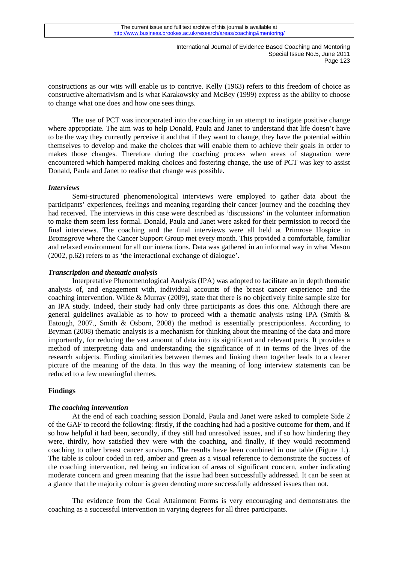constructions as our wits will enable us to contrive. Kelly (1963) refers to this freedom of choice as constructive alternativism and is what Karakowsky and McBey (1999) express as the ability to choose to change what one does and how one sees things.

The use of PCT was incorporated into the coaching in an attempt to instigate positive change where appropriate. The aim was to help Donald, Paula and Janet to understand that life doesn't have to be the way they currently perceive it and that if they want to change, they have the potential within themselves to develop and make the choices that will enable them to achieve their goals in order to makes those changes. Therefore during the coaching process when areas of stagnation were encountered which hampered making choices and fostering change, the use of PCT was key to assist Donald, Paula and Janet to realise that change was possible.

### *Interviews*

Semi-structured phenomenological interviews were employed to gather data about the participants' experiences, feelings and meaning regarding their cancer journey and the coaching they had received. The interviews in this case were described as 'discussions' in the volunteer information to make them seem less formal. Donald, Paula and Janet were asked for their permission to record the final interviews. The coaching and the final interviews were all held at Primrose Hospice in Bromsgrove where the Cancer Support Group met every month. This provided a comfortable, familiar and relaxed environment for all our interactions. Data was gathered in an informal way in what Mason (2002, p.62) refers to as 'the interactional exchange of dialogue'.

#### *Transcription and thematic analysis*

Interpretative Phenomenological Analysis (IPA) was adopted to facilitate an in depth thematic analysis of, and engagement with, individual accounts of the breast cancer experience and the coaching intervention. Wilde & Murray (2009), state that there is no objectively finite sample size for an IPA study. Indeed, their study had only three participants as does this one. Although there are general guidelines available as to how to proceed with a thematic analysis using IPA (Smith & Eatough, 2007., Smith & Osborn, 2008) the method is essentially prescriptionless. According to Bryman (2008) thematic analysis is a mechanism for thinking about the meaning of the data and more importantly, for reducing the vast amount of data into its significant and relevant parts. It provides a method of interpreting data and understanding the significance of it in terms of the lives of the research subjects. Finding similarities between themes and linking them together leads to a clearer picture of the meaning of the data. In this way the meaning of long interview statements can be reduced to a few meaningful themes.

### **Findings**

#### *The coaching intervention*

At the end of each coaching session Donald, Paula and Janet were asked to complete Side 2 of the GAF to record the following: firstly, if the coaching had had a positive outcome for them, and if so how helpful it had been, secondly, if they still had unresolved issues, and if so how hindering they were, thirdly, how satisfied they were with the coaching, and finally, if they would recommend coaching to other breast cancer survivors. The results have been combined in one table (Figure 1.). The table is colour coded in red, amber and green as a visual reference to demonstrate the success of the coaching intervention, red being an indication of areas of significant concern, amber indicating moderate concern and green meaning that the issue had been successfully addressed. It can be seen at a glance that the majority colour is green denoting more successfully addressed issues than not.

The evidence from the Goal Attainment Forms is very encouraging and demonstrates the coaching as a successful intervention in varying degrees for all three participants.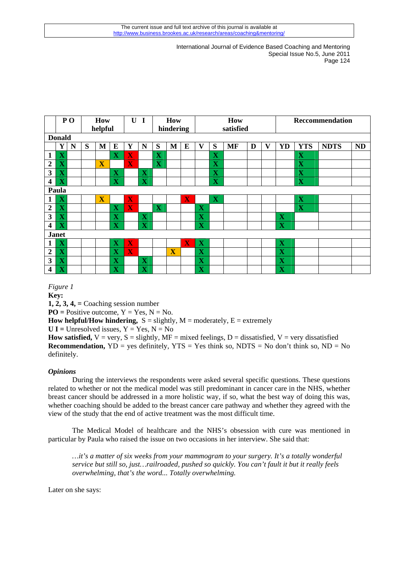|                         |                         | PO <sub>1</sub> | <b>How</b> |                         |                         | $\mathbf{U}$            | $\blacksquare$          | How                     |                         |                         | How                     |                         |           |   | <b>Reccommendation</b> |                         |             |             |           |
|-------------------------|-------------------------|-----------------|------------|-------------------------|-------------------------|-------------------------|-------------------------|-------------------------|-------------------------|-------------------------|-------------------------|-------------------------|-----------|---|------------------------|-------------------------|-------------|-------------|-----------|
|                         | helpful                 |                 |            |                         |                         |                         | hindering               |                         |                         | satisfied               |                         |                         |           |   |                        |                         |             |             |           |
| <b>Donald</b>           |                         |                 |            |                         |                         |                         |                         |                         |                         |                         |                         |                         |           |   |                        |                         |             |             |           |
|                         | Y                       | N               | S          | $\mathbf{M}$            | E                       | Y                       | N                       | S                       | M                       | E                       | $\mathbf{V}$            | S                       | <b>MF</b> | D | V                      | YD                      | <b>YTS</b>  | <b>NDTS</b> | <b>ND</b> |
| 1                       | $\mathbf X$             |                 |            |                         | $\overline{\mathbf{X}}$ | $\overline{\mathbf{X}}$ |                         | $\mathbf X$             |                         |                         |                         | $\overline{\mathbf{X}}$ |           |   |                        |                         | $\mathbf X$ |             |           |
| $\overline{2}$          | $\overline{\mathbf{X}}$ |                 |            | $\overline{\mathbf{X}}$ |                         | $\overline{\mathbf{X}}$ |                         | $\overline{\mathbf{X}}$ |                         |                         |                         | $\overline{\mathbf{X}}$ |           |   |                        |                         | $\mathbf X$ |             |           |
| 3                       | $\overline{\mathbf{X}}$ |                 |            |                         | $\mathbf X$             |                         | $\mathbf X$             |                         |                         |                         |                         | $\overline{\mathbf{X}}$ |           |   |                        |                         | $\mathbf X$ |             |           |
| 4                       | $\overline{\mathbf{X}}$ |                 |            |                         | $\mathbf X$             |                         | $\mathbf X$             |                         |                         |                         |                         | $\mathbf X$             |           |   |                        |                         | $\mathbf X$ |             |           |
| Paula                   |                         |                 |            |                         |                         |                         |                         |                         |                         |                         |                         |                         |           |   |                        |                         |             |             |           |
| 1                       | $\mathbf X$             |                 |            | $\overline{\mathbf{X}}$ |                         | X                       |                         |                         |                         | X                       |                         | $\mathbf X$             |           |   |                        |                         | $\mathbf X$ |             |           |
| $\overline{2}$          | $\overline{\mathbf{X}}$ |                 |            |                         | $\overline{\mathbf{X}}$ | $\overline{\mathbf{X}}$ |                         | $\mathbf X$             |                         |                         | X                       |                         |           |   |                        |                         | $\mathbf X$ |             |           |
| 3                       | $\overline{\mathbf{X}}$ |                 |            |                         | $\overline{\mathbf{X}}$ |                         | $\mathbf X$             |                         |                         |                         | $\mathbf X$             |                         |           |   |                        | $\mathbf X$             |             |             |           |
| $\overline{\mathbf{4}}$ | $\mathbf X$             |                 |            |                         | $\mathbf X$             |                         | $\mathbf X$             |                         |                         |                         | $\mathbf X$             |                         |           |   |                        | $\mathbf X$             |             |             |           |
| <b>Janet</b>            |                         |                 |            |                         |                         |                         |                         |                         |                         |                         |                         |                         |           |   |                        |                         |             |             |           |
| 1                       | $\mathbf X$             |                 |            |                         | $\mathbf X$             | $\overline{\mathbf{X}}$ |                         |                         |                         | $\overline{\mathbf{X}}$ | $\mathbf X$             |                         |           |   |                        | $\mathbf X$             |             |             |           |
| $\overline{2}$          | $\overline{\mathbf{X}}$ |                 |            |                         | $\overline{\mathbf{X}}$ | $\overline{\mathbf{X}}$ |                         |                         | $\overline{\mathbf{X}}$ |                         | $\mathbf X$             |                         |           |   |                        | $\overline{\mathbf{X}}$ |             |             |           |
| 3                       | $\overline{\mathbf{X}}$ |                 |            |                         | $\mathbf X$             |                         | $\mathbf X$             |                         |                         |                         | $\mathbf X$             |                         |           |   |                        | $\mathbf X$             |             |             |           |
| $\overline{\mathbf{4}}$ | $\overline{\mathbf{X}}$ |                 |            |                         | $\mathbf X$             |                         | $\overline{\mathbf{X}}$ |                         |                         |                         | $\overline{\mathbf{X}}$ |                         |           |   |                        | $\overline{\mathbf{X}}$ |             |             |           |

*Figure 1* **Key: 1, 2, 3, 4, =** Coaching session number **PO** = Positive outcome,  $Y = Yes$ ,  $N = No$ . **How helpful/How hindering,**  $S =$  slightly,  $M =$  moderately,  $E =$  extremely  $U I =$  Unresolved issues,  $Y = Yes$ ,  $N = No$ **How satisfied,**  $V = \text{very}, S =$  slightly,  $MF =$  mixed feelings,  $D =$  dissatisfied,  $V = \text{very dissatisfied}$ **Recommendation,**  $YD = yes$  definitely,  $YTS = Yes$  think so,  $NDTS = No$  don't think so,  $ND = No$ definitely.

# *Opinions*

During the interviews the respondents were asked several specific questions. These questions related to whether or not the medical model was still predominant in cancer care in the NHS, whether breast cancer should be addressed in a more holistic way, if so, what the best way of doing this was, whether coaching should be added to the breast cancer care pathway and whether they agreed with the view of the study that the end of active treatment was the most difficult time.

 The Medical Model of healthcare and the NHS's obsession with cure was mentioned in particular by Paula who raised the issue on two occasions in her interview. She said that:

*…it's a matter of six weeks from your mammogram to your surgery. It's a totally wonderful service but still so, just…railroaded, pushed so quickly. You can't fault it but it really feels overwhelming, that's the word... Totally overwhelming.* 

Later on she says: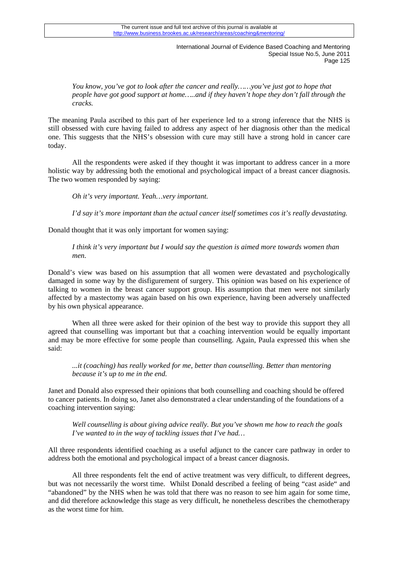*You know, you've got to look after the cancer and really……you've just got to hope that people have got good support at home…..and if they haven't hope they don't fall through the cracks.* 

The meaning Paula ascribed to this part of her experience led to a strong inference that the NHS is still obsessed with cure having failed to address any aspect of her diagnosis other than the medical one. This suggests that the NHS's obsession with cure may still have a strong hold in cancer care today.

All the respondents were asked if they thought it was important to address cancer in a more holistic way by addressing both the emotional and psychological impact of a breast cancer diagnosis. The two women responded by saying:

*Oh it's very important. Yeah…very important.* 

*I'd say it's more important than the actual cancer itself sometimes cos it's really devastating.* 

Donald thought that it was only important for women saying:

*I think it's very important but I would say the question is aimed more towards women than men.* 

Donald's view was based on his assumption that all women were devastated and psychologically damaged in some way by the disfigurement of surgery. This opinion was based on his experience of talking to women in the breast cancer support group. His assumption that men were not similarly affected by a mastectomy was again based on his own experience, having been adversely unaffected by his own physical appearance.

When all three were asked for their opinion of the best way to provide this support they all agreed that counselling was important but that a coaching intervention would be equally important and may be more effective for some people than counselling. Again, Paula expressed this when she said:

*...it (coaching) has really worked for me, better than counselling. Better than mentoring because it's up to me in the end.* 

Janet and Donald also expressed their opinions that both counselling and coaching should be offered to cancer patients. In doing so, Janet also demonstrated a clear understanding of the foundations of a coaching intervention saying:

*Well counselling is about giving advice really. But you've shown me how to reach the goals I've wanted to in the way of tackling issues that I've had…* 

All three respondents identified coaching as a useful adjunct to the cancer care pathway in order to address both the emotional and psychological impact of a breast cancer diagnosis.

All three respondents felt the end of active treatment was very difficult, to different degrees, but was not necessarily the worst time. Whilst Donald described a feeling of being "cast aside" and "abandoned" by the NHS when he was told that there was no reason to see him again for some time, and did therefore acknowledge this stage as very difficult, he nonetheless describes the chemotherapy as the worst time for him.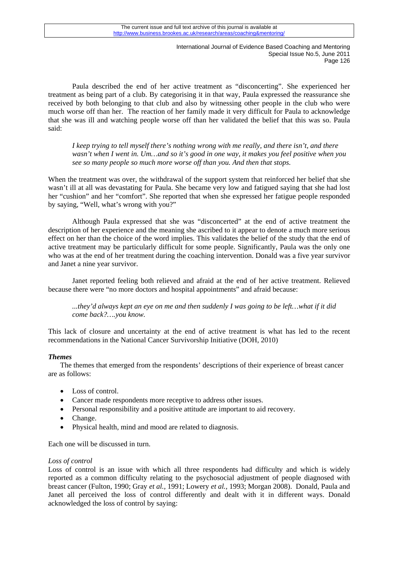Paula described the end of her active treatment as "disconcerting". She experienced her treatment as being part of a club. By categorising it in that way, Paula expressed the reassurance she received by both belonging to that club and also by witnessing other people in the club who were much worse off than her. The reaction of her family made it very difficult for Paula to acknowledge that she was ill and watching people worse off than her validated the belief that this was so. Paula said:

*I keep trying to tell myself there's nothing wrong with me really, and there isn't, and there wasn't when I went in. Um…and so it's good in one way, it makes you feel positive when you see so many people so much more worse off than you. And then that stops.* 

When the treatment was over, the withdrawal of the support system that reinforced her belief that she wasn't ill at all was devastating for Paula. She became very low and fatigued saying that she had lost her "cushion" and her "comfort". She reported that when she expressed her fatigue people responded by saying, "Well, what's wrong with you?"

Although Paula expressed that she was "disconcerted" at the end of active treatment the description of her experience and the meaning she ascribed to it appear to denote a much more serious effect on her than the choice of the word implies. This validates the belief of the study that the end of active treatment may be particularly difficult for some people. Significantly, Paula was the only one who was at the end of her treatment during the coaching intervention. Donald was a five year survivor and Janet a nine year survivor.

Janet reported feeling both relieved and afraid at the end of her active treatment. Relieved because there were "no more doctors and hospital appointments" and afraid because:

*...they'd always kept an eye on me and then suddenly I was going to be left…what if it did come back?….you know.* 

This lack of closure and uncertainty at the end of active treatment is what has led to the recent recommendations in the National Cancer Survivorship Initiative (DOH, 2010)

# *Themes*

The themes that emerged from the respondents' descriptions of their experience of breast cancer are as follows:

- Loss of control.
- Cancer made respondents more receptive to address other issues.
- Personal responsibility and a positive attitude are important to aid recovery.
- Change.
- Physical health, mind and mood are related to diagnosis.

Each one will be discussed in turn.

### *Loss of control*

Loss of control is an issue with which all three respondents had difficulty and which is widely reported as a common difficulty relating to the psychosocial adjustment of people diagnosed with breast cancer (Fulton, 1990; Gray *et al.,* 1991; Lowery *et al.,* 1993; Morgan 2008). Donald, Paula and Janet all perceived the loss of control differently and dealt with it in different ways. Donald acknowledged the loss of control by saying: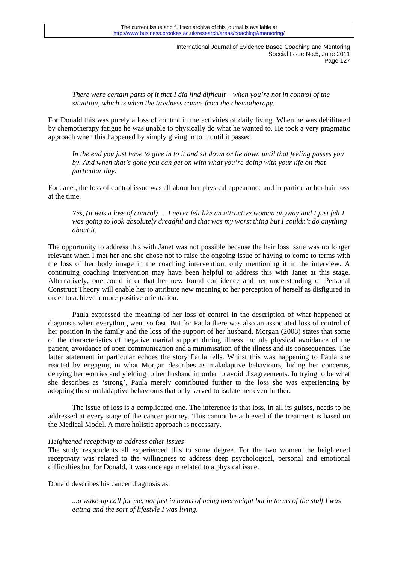*There were certain parts of it that I did find difficult – when you're not in control of the situation, which is when the tiredness comes from the chemotherapy.* 

For Donald this was purely a loss of control in the activities of daily living. When he was debilitated by chemotherapy fatigue he was unable to physically do what he wanted to. He took a very pragmatic approach when this happened by simply giving in to it until it passed:

*In the end you just have to give in to it and sit down or lie down until that feeling passes you by. And when that's gone you can get on with what you're doing with your life on that particular day.* 

For Janet, the loss of control issue was all about her physical appearance and in particular her hair loss at the time.

*Yes, (it was a loss of control)…..I never felt like an attractive woman anyway and I just felt I was going to look absolutely dreadful and that was my worst thing but I couldn't do anything about it.* 

The opportunity to address this with Janet was not possible because the hair loss issue was no longer relevant when I met her and she chose not to raise the ongoing issue of having to come to terms with the loss of her body image in the coaching intervention, only mentioning it in the interview. A continuing coaching intervention may have been helpful to address this with Janet at this stage. Alternatively, one could infer that her new found confidence and her understanding of Personal Construct Theory will enable her to attribute new meaning to her perception of herself as disfigured in order to achieve a more positive orientation.

Paula expressed the meaning of her loss of control in the description of what happened at diagnosis when everything went so fast. But for Paula there was also an associated loss of control of her position in the family and the loss of the support of her husband. Morgan (2008) states that some of the characteristics of negative marital support during illness include physical avoidance of the patient, avoidance of open communication and a minimisation of the illness and its consequences. The latter statement in particular echoes the story Paula tells. Whilst this was happening to Paula she reacted by engaging in what Morgan describes as maladaptive behaviours; hiding her concerns, denying her worries and yielding to her husband in order to avoid disagreements. In trying to be what she describes as 'strong', Paula merely contributed further to the loss she was experiencing by adopting these maladaptive behaviours that only served to isolate her even further.

The issue of loss is a complicated one. The inference is that loss, in all its guises, needs to be addressed at every stage of the cancer journey. This cannot be achieved if the treatment is based on the Medical Model. A more holistic approach is necessary.

### *Heightened receptivity to address other issues*

The study respondents all experienced this to some degree. For the two women the heightened receptivity was related to the willingness to address deep psychological, personal and emotional difficulties but for Donald, it was once again related to a physical issue.

Donald describes his cancer diagnosis as:

*...a wake-up call for me, not just in terms of being overweight but in terms of the stuff I was eating and the sort of lifestyle I was living.*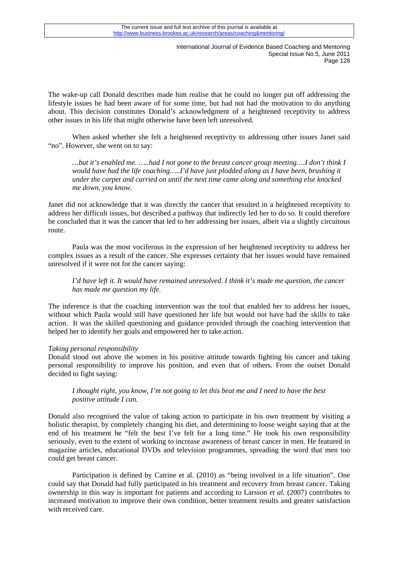The wake-up call Donald describes made him realise that he could no longer put off addressing the lifestyle issues he had been aware of for some time, but had not had the motivation to do anything about. This decision constitutes Donald's acknowledgment of a heightened receptivity to address other issues in his life that might otherwise have been left unresolved.

When asked whether she felt a heightened receptivity to addressing other issues Janet said "no". However, she went on to say:

*…but it's enabled me. …..had I not gone to the breast cancer group meeting….I don't think I would have had the life coaching…..I'd have just plodded along as I have been, brushing it under the carpet and carried on until the next time came along and something else knocked me down, you know.* 

Janet did not acknowledge that it was directly the cancer that resulted in a heightened receptivity to address her difficult issues, but described a pathway that indirectly led her to do so. It could therefore be concluded that it was the cancer that led to her addressing her issues, albeit via a slightly circuitous route.

Paula was the most vociferous in the expression of her heightened receptivity to address her complex issues as a result of the cancer. She expresses certainty that her issues would have remained unresolved if it were not for the cancer saying:

*I'd have left it. It would have remained unresolved. I think it's made me question, the cancer has made me question my life.* 

The inference is that the coaching intervention was the tool that enabled her to address her issues, without which Paula would still have questioned her life but would not have had the skills to take action. It was the skilled questioning and guidance provided through the coaching intervention that helped her to identify her goals and empowered her to take action.

# *Taking personal responsibility*

Donald stood out above the women in his positive attitude towards fighting his cancer and taking personal responsibility to improve his position, and even that of others. From the outset Donald decided to fight saying:

# *I thought right, you know, I'm not going to let this beat me and I need to have the best positive attitude I can.*

Donald also recognised the value of taking action to participate in his own treatment by visiting a holistic therapist, by completely changing his diet, and determining to loose weight saying that at the end of his treatment he "felt the best I've felt for a long time." He took his own responsibility seriously, even to the extent of working to increase awareness of breast cancer in men. He featured in magazine articles, educational DVDs and television programmes, spreading the word that men too could get breast cancer.

Participation is defined by Catrine et al. (2010) as "being involved in a life situation". One could say that Donald had fully participated in his treatment and recovery from breast cancer. Taking ownership in this way is important for patients and according to Larsson *et al.* (2007) contributes to increased motivation to improve their own condition, better treatment results and greater satisfaction with received care.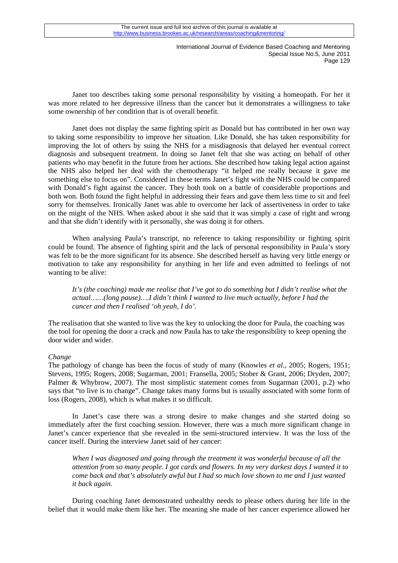Janet too describes taking some personal responsibility by visiting a homeopath. For her it was more related to her depressive illness than the cancer but it demonstrates a willingness to take some ownership of her condition that is of overall benefit.

Janet does not display the same fighting spirit as Donald but has contributed in her own way to taking some responsibility to improve her situation. Like Donald, she has taken responsibility for improving the lot of others by suing the NHS for a misdiagnosis that delayed her eventual correct diagnosis and subsequent treatment. In doing so Janet felt that she was acting on behalf of other patients who may benefit in the future from her actions. She described how taking legal action against the NHS also helped her deal with the chemotherapy "it helped me really because it gave me something else to focus on". Considered in these terms Janet's fight with the NHS could be compared with Donald's fight against the cancer. They both took on a battle of considerable proportions and both won. Both found the fight helpful in addressing their fears and gave them less time to sit and feel sorry for themselves. Ironically Janet was able to overcome her lack of assertiveness in order to take on the might of the NHS. When asked about it she said that it was simply a case of right and wrong and that she didn't identify with it personally, she was doing it for others.

When analysing Paula's transcript, no reference to taking responsibility or fighting spirit could be found. The absence of fighting spirit and the lack of personal responsibility in Paula's story was felt to be the more significant for its absence. She described herself as having very little energy or motivation to take any responsibility for anything in her life and even admitted to feelings of not wanting to be alive:

*It's (the coaching) made me realise that I've got to do something but I didn't realise what the actual……(long pause)….I didn't think I wanted to live much actually, before I had the cancer and then I realised 'oh yeah, I do'.* 

The realisation that she wanted to live was the key to unlocking the door for Paula, the coaching was the tool for opening the door a crack and now Paula has to take the responsibility to keep opening the door wider and wider.

### *Change*

The pathology of change has been the focus of study of many (Knowles *et al.,* 2005; Rogers, 1951; Stevens, 1995; Rogers, 2008; Sugarman, 2001; Fransella, 2005; Stober & Grant, 2006; Dryden, 2007; Palmer & Whybrow, 2007). The most simplistic statement comes from Sugarman (2001, p.2) who says that "to live is to change". Change takes many forms but is usually associated with some form of loss (Rogers, 2008), which is what makes it so difficult.

In Janet's case there was a strong desire to make changes and she started doing so immediately after the first coaching session. However, there was a much more significant change in Janet's cancer experience that she revealed in the semi-structured interview. It was the loss of the cancer itself. During the interview Janet said of her cancer:

*When I was diagnosed and going through the treatment it was wonderful because of all the attention from so many people. I got cards and flowers. In my very darkest days I wanted it to come back and that's absolutely awful but I had so much love shown to me and I just wanted it back again.* 

During coaching Janet demonstrated unhealthy needs to please others during her life in the belief that it would make them like her. The meaning she made of her cancer experience allowed her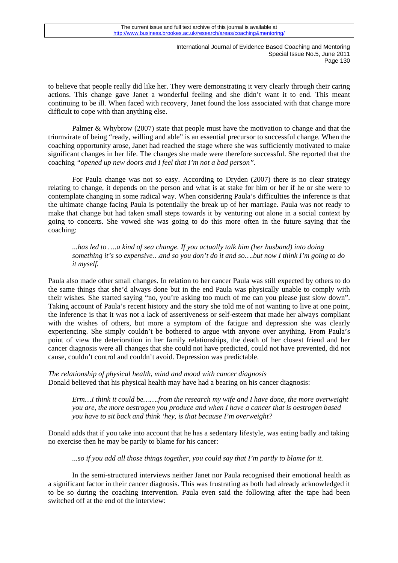to believe that people really did like her. They were demonstrating it very clearly through their caring actions. This change gave Janet a wonderful feeling and she didn't want it to end. This meant continuing to be ill. When faced with recovery, Janet found the loss associated with that change more difficult to cope with than anything else.

Palmer & Whybrow (2007) state that people must have the motivation to change and that the triumvirate of being "ready, willing and able" is an essential precursor to successful change. When the coaching opportunity arose, Janet had reached the stage where she was sufficiently motivated to make significant changes in her life. The changes she made were therefore successful. She reported that the coaching *"opened up new doors and I feel that I'm not a bad person".*

For Paula change was not so easy. According to Dryden (2007) there is no clear strategy relating to change, it depends on the person and what is at stake for him or her if he or she were to contemplate changing in some radical way. When considering Paula's difficulties the inference is that the ultimate change facing Paula is potentially the break up of her marriage. Paula was not ready to make that change but had taken small steps towards it by venturing out alone in a social context by going to concerts. She vowed she was going to do this more often in the future saying that the coaching:

*...has led to ….a kind of sea change. If you actually talk him (her husband) into doing something it's so expensive…and so you don't do it and so….but now I think I'm going to do it myself.* 

Paula also made other small changes. In relation to her cancer Paula was still expected by others to do the same things that she'd always done but in the end Paula was physically unable to comply with their wishes. She started saying "no, you're asking too much of me can you please just slow down". Taking account of Paula's recent history and the story she told me of not wanting to live at one point, the inference is that it was not a lack of assertiveness or self-esteem that made her always compliant with the wishes of others, but more a symptom of the fatigue and depression she was clearly experiencing. She simply couldn't be bothered to argue with anyone over anything. From Paula's point of view the deterioration in her family relationships, the death of her closest friend and her cancer diagnosis were all changes that she could not have predicted, could not have prevented, did not cause, couldn't control and couldn't avoid. Depression was predictable.

*The relationship of physical health, mind and mood with cancer diagnosis*  Donald believed that his physical health may have had a bearing on his cancer diagnosis:

*Erm…I think it could be…….from the research my wife and I have done, the more overweight you are, the more oestrogen you produce and when I have a cancer that is oestrogen based you have to sit back and think 'hey, is that because I'm overweight?* 

Donald adds that if you take into account that he has a sedentary lifestyle, was eating badly and taking no exercise then he may be partly to blame for his cancer:

*...so if you add all those things together, you could say that I'm partly to blame for it.* 

 In the semi-structured interviews neither Janet nor Paula recognised their emotional health as a significant factor in their cancer diagnosis. This was frustrating as both had already acknowledged it to be so during the coaching intervention. Paula even said the following after the tape had been switched off at the end of the interview: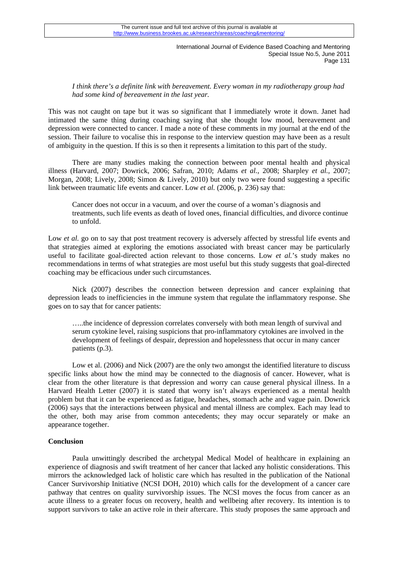*I think there's a definite link with bereavement. Every woman in my radiotherapy group had had some kind of bereavement in the last year.* 

This was not caught on tape but it was so significant that I immediately wrote it down. Janet had intimated the same thing during coaching saying that she thought low mood, bereavement and depression were connected to cancer. I made a note of these comments in my journal at the end of the session. Their failure to vocalise this in response to the interview question may have been as a result of ambiguity in the question. If this is so then it represents a limitation to this part of the study.

There are many studies making the connection between poor mental health and physical illness (Harvard, 2007; Dowrick, 2006; Safran, 2010; Adams *et al.,* 2008; Sharpley *et al.,* 2007; Morgan, 2008; Lively, 2008; Simon & Lively, 2010) but only two were found suggesting a specific link between traumatic life events and cancer. Low *et al.* (2006, p. 236) say that:

Cancer does not occur in a vacuum, and over the course of a woman's diagnosis and treatments, such life events as death of loved ones, financial difficulties, and divorce continue to unfold.

Low *et al.* go on to say that post treatment recovery is adversely affected by stressful life events and that strategies aimed at exploring the emotions associated with breast cancer may be particularly useful to facilitate goal-directed action relevant to those concerns. Low *et al.*'s study makes no recommendations in terms of what strategies are most useful but this study suggests that goal-directed coaching may be efficacious under such circumstances.

Nick (2007) describes the connection between depression and cancer explaining that depression leads to inefficiencies in the immune system that regulate the inflammatory response. She goes on to say that for cancer patients:

…..the incidence of depression correlates conversely with both mean length of survival and serum cytokine level, raising suspicions that pro-inflammatory cytokines are involved in the development of feelings of despair, depression and hopelessness that occur in many cancer patients (p.3).

Low et al. (2006) and Nick (2007) are the only two amongst the identified literature to discuss specific links about how the mind may be connected to the diagnosis of cancer. However, what is clear from the other literature is that depression and worry can cause general physical illness. In a Harvard Health Letter (2007) it is stated that worry isn't always experienced as a mental health problem but that it can be experienced as fatigue, headaches, stomach ache and vague pain. Dowrick (2006) says that the interactions between physical and mental illness are complex. Each may lead to the other, both may arise from common antecedents; they may occur separately or make an appearance together.

### **Conclusion**

Paula unwittingly described the archetypal Medical Model of healthcare in explaining an experience of diagnosis and swift treatment of her cancer that lacked any holistic considerations. This mirrors the acknowledged lack of holistic care which has resulted in the publication of the National Cancer Survivorship Initiative (NCSI DOH, 2010) which calls for the development of a cancer care pathway that centres on quality survivorship issues. The NCSI moves the focus from cancer as an acute illness to a greater focus on recovery, health and wellbeing after recovery. Its intention is to support survivors to take an active role in their aftercare. This study proposes the same approach and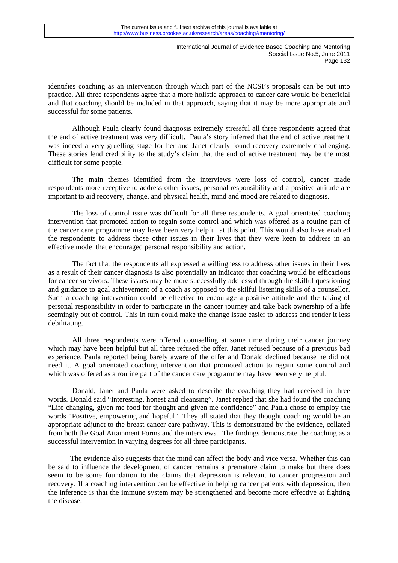identifies coaching as an intervention through which part of the NCSI's proposals can be put into practice. All three respondents agree that a more holistic approach to cancer care would be beneficial and that coaching should be included in that approach, saying that it may be more appropriate and successful for some patients.

Although Paula clearly found diagnosis extremely stressful all three respondents agreed that the end of active treatment was very difficult. Paula's story inferred that the end of active treatment was indeed a very gruelling stage for her and Janet clearly found recovery extremely challenging. These stories lend credibility to the study's claim that the end of active treatment may be the most difficult for some people.

The main themes identified from the interviews were loss of control, cancer made respondents more receptive to address other issues, personal responsibility and a positive attitude are important to aid recovery, change, and physical health, mind and mood are related to diagnosis.

The loss of control issue was difficult for all three respondents. A goal orientated coaching intervention that promoted action to regain some control and which was offered as a routine part of the cancer care programme may have been very helpful at this point. This would also have enabled the respondents to address those other issues in their lives that they were keen to address in an effective model that encouraged personal responsibility and action.

The fact that the respondents all expressed a willingness to address other issues in their lives as a result of their cancer diagnosis is also potentially an indicator that coaching would be efficacious for cancer survivors. These issues may be more successfully addressed through the skilful questioning and guidance to goal achievement of a coach as opposed to the skilful listening skills of a counsellor. Such a coaching intervention could be effective to encourage a positive attitude and the taking of personal responsibility in order to participate in the cancer journey and take back ownership of a life seemingly out of control. This in turn could make the change issue easier to address and render it less debilitating.

All three respondents were offered counselling at some time during their cancer journey which may have been helpful but all three refused the offer. Janet refused because of a previous bad experience. Paula reported being barely aware of the offer and Donald declined because he did not need it. A goal orientated coaching intervention that promoted action to regain some control and which was offered as a routine part of the cancer care programme may have been very helpful.

Donald, Janet and Paula were asked to describe the coaching they had received in three words. Donald said "Interesting, honest and cleansing". Janet replied that she had found the coaching "Life changing, given me food for thought and given me confidence" and Paula chose to employ the words "Positive, empowering and hopeful". They all stated that they thought coaching would be an appropriate adjunct to the breast cancer care pathway. This is demonstrated by the evidence, collated from both the Goal Attainment Forms and the interviews. The findings demonstrate the coaching as a successful intervention in varying degrees for all three participants.

 The evidence also suggests that the mind can affect the body and vice versa. Whether this can be said to influence the development of cancer remains a premature claim to make but there does seem to be some foundation to the claims that depression is relevant to cancer progression and recovery. If a coaching intervention can be effective in helping cancer patients with depression, then the inference is that the immune system may be strengthened and become more effective at fighting the disease.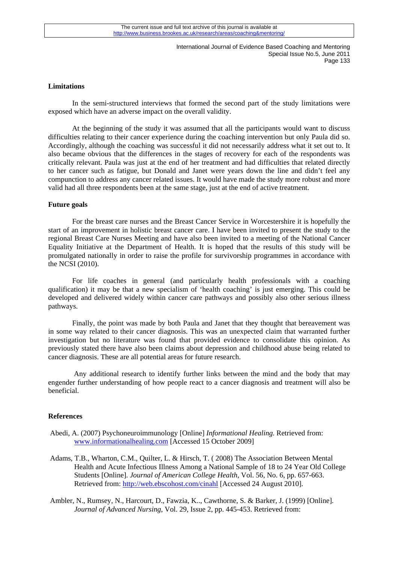#### **Limitations**

In the semi-structured interviews that formed the second part of the study limitations were exposed which have an adverse impact on the overall validity.

 At the beginning of the study it was assumed that all the participants would want to discuss difficulties relating to their cancer experience during the coaching intervention but only Paula did so. Accordingly, although the coaching was successful it did not necessarily address what it set out to. It also became obvious that the differences in the stages of recovery for each of the respondents was critically relevant. Paula was just at the end of her treatment and had difficulties that related directly to her cancer such as fatigue, but Donald and Janet were years down the line and didn't feel any compunction to address any cancer related issues. It would have made the study more robust and more valid had all three respondents been at the same stage, just at the end of active treatment.

#### **Future goals**

For the breast care nurses and the Breast Cancer Service in Worcestershire it is hopefully the start of an improvement in holistic breast cancer care. I have been invited to present the study to the regional Breast Care Nurses Meeting and have also been invited to a meeting of the National Cancer Equality Initiative at the Department of Health. It is hoped that the results of this study will be promulgated nationally in order to raise the profile for survivorship programmes in accordance with the NCSI (2010).

For life coaches in general (and particularly health professionals with a coaching qualification) it may be that a new specialism of 'health coaching' is just emerging. This could be developed and delivered widely within cancer care pathways and possibly also other serious illness pathways.

Finally, the point was made by both Paula and Janet that they thought that bereavement was in some way related to their cancer diagnosis. This was an unexpected claim that warranted further investigation but no literature was found that provided evidence to consolidate this opinion. As previously stated there have also been claims about depression and childhood abuse being related to cancer diagnosis. These are all potential areas for future research.

 Any additional research to identify further links between the mind and the body that may engender further understanding of how people react to a cancer diagnosis and treatment will also be beneficial.

#### **References**

- Abedi, A. (2007) Psychoneuroimmunology [Online] *Informational Healing.* Retrieved from: www.informationalhealing.com [Accessed 15 October 2009]
- Adams, T.B., Wharton, C.M., Quilter, L. & Hirsch, T. ( 2008) The Association Between Mental Health and Acute Infectious Illness Among a National Sample of 18 to 24 Year Old College Students [Online]. *Journal of American College Health*, Vol. 56, No. 6, pp. 657-663. Retrieved from: http://web.ebscohost.com/cinahl [Accessed 24 August 2010].

Ambler, N., Rumsey, N., Harcourt, D., Fawzia, K.., Cawthorne, S. & Barker, J. (1999) [Online]. *Journal of Advanced Nursing*, Vol. 29, Issue 2, pp. 445-453. Retrieved from: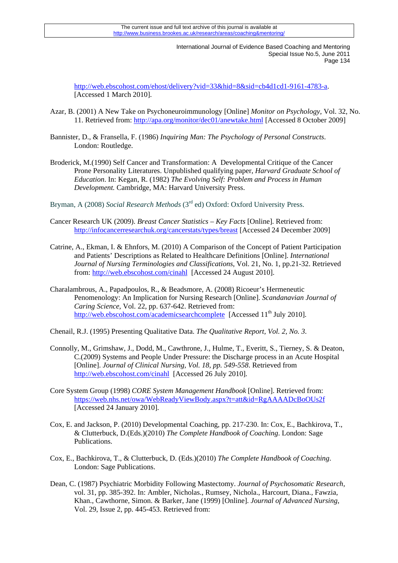http://web.ebscohost.com/ehost/delivery?vid=33&hid=8&sid=cb4d1cd1-9161-4783-a. [Accessed 1 March 2010].

- Azar, B. (2001) A New Take on Psychoneuroimmunology [Online] *Monitor on Psychology,* Vol. 32, No. 11. Retrieved from: http://apa.org/monitor/dec01/anewtake.html [Accessed 8 October 2009]
- Bannister, D., & Fransella, F. (1986) *Inquiring Man: The Psychology of Personal Constructs*. London: Routledge.
- Broderick, M.(1990) Self Cancer and Transformation: A Developmental Critique of the Cancer Prone Personality Literatures. Unpublished qualifying paper, *Harvard Graduate School of Education*. In: Kegan, R. (1982) *The Evolving Self: Problem and Process in Human Development.* Cambridge, MA: Harvard University Press.

Bryman, A (2008) *Social Research Methods* (3rd ed) Oxford: Oxford University Press.

- Cancer Research UK (2009). *Breast Cancer Statistics Key Facts* [Online]. Retrieved from: http://infocancerresearchuk.org/cancerstats/types/breast [Accessed 24 December 2009]
- Catrine, A., Ekman, I. & Ehnfors, M. (2010) A Comparison of the Concept of Patient Participation and Patients' Descriptions as Related to Healthcare Definitions [Online]. *International Journal of Nursing Terminologies and Classifications*, Vol. 21, No. 1, pp.21-32. Retrieved from: http://web.ebscohost.com/cinahl [Accessed 24 August 2010].
- Charalambrous, A., Papadpoulos, R., & Beadsmore, A. (2008) Ricoeur's Hermeneutic Penomenology: An Implication for Nursing Research [Online]. *Scandanavian Journal of Caring Science,* Vol. 22, pp. 637-642. Retrieved from: http://web.ebscohost.com/academicsearchcomplete [Accessed 11<sup>th</sup> July 2010].
- Chenail, R.J. (1995) Presenting Qualitative Data. *The Qualitative Report, Vol. 2, No. 3.*
- Connolly, M., Grimshaw, J., Dodd, M., Cawthrone, J., Hulme, T., Everitt, S., Tierney, S. & Deaton, C.(2009) Systems and People Under Pressure: the Discharge process in an Acute Hospital [Online]. *Journal of Clinical Nursing, Vol. 18, pp. 549-558*. Retrieved from http://web.ebscohost.com/cinahl [Accessed 26 July 2010].
- Core System Group (1998) *CORE System Management Handbook* [Online]. Retrieved from: https://web.nhs.net/owa/WebReadyViewBody.aspx?t=att&id=RgAAAADcBoOUs2f [Accessed 24 January 2010].
- Cox, E. and Jackson, P. (2010) Developmental Coaching, pp. 217-230. In: Cox, E., Bachkirova, T., & Clutterbuck, D.(Eds.)(2010) *The Complete Handbook of Coaching*. London: Sage Publications.
- Cox, E., Bachkirova, T., & Clutterbuck, D. (Eds.)(2010) *The Complete Handbook of Coaching*. London: Sage Publications.
- Dean, C. (1987) Psychiatric Morbidity Following Mastectomy. *Journal of Psychosomatic Research,*  vol. 31, pp. 385-392. In: Ambler, Nicholas., Rumsey, Nichola., Harcourt, Diana., Fawzia, Khan., Cawthorne, Simon. & Barker, Jane (1999) [Online]. *Journal of Advanced Nursing*, Vol. 29, Issue 2, pp. 445-453. Retrieved from: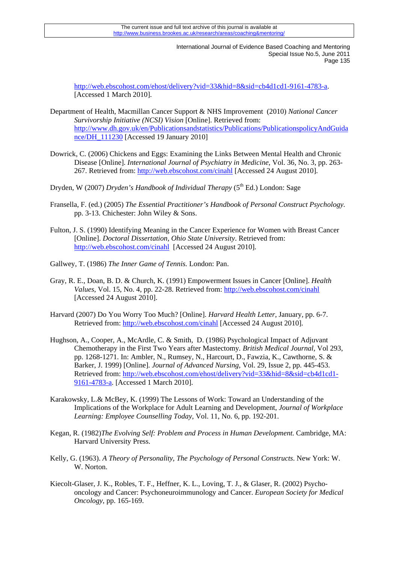http://web.ebscohost.com/ehost/delivery?vid=33&hid=8&sid=cb4d1cd1-9161-4783-a. [Accessed 1 March 2010].

- Department of Health, Macmillan Cancer Support & NHS Improvement (2010) *National Cancer Survivorship Initiative (NCSI) Vision* [Online]. Retrieved from: http://www.dh.gov.uk/en/Publicationsandstatistics/Publications/PublicationspolicyAndGuida nce/DH\_111230 [Accessed 19 January 2010]
- Dowrick, C. (2006) Chickens and Eggs: Examining the Links Between Mental Health and Chronic Disease [Online]. *International Journal of Psychiatry in Medicine,* Vol. 36, No. 3, pp. 263- 267. Retrieved from: http://web.ebscohost.com/cinahl [Accessed 24 August 2010].
- Dryden, W (2007) *Dryden's Handbook of Individual Therapy* (5<sup>th</sup> Ed.) London: Sage
- Fransella, F. (ed.) (2005) *The Essential Practitioner's Handbook of Personal Construct Psychology.*  pp. 3-13. Chichester: John Wiley & Sons.
- Fulton, J. S. (1990) Identifying Meaning in the Cancer Experience for Women with Breast Cancer [Online]. *Doctoral Dissertation, Ohio State University*. Retrieved from: http://web.ebscohost.com/cinahl [Accessed 24 August 2010].
- Gallwey, T. (1986) *The Inner Game of Tennis.* London: Pan.
- Gray, R. E., Doan, B. D. & Church, K. (1991) Empowerment Issues in Cancer [Online]. *Health Values*, Vol. 15, No. 4, pp. 22-28. Retrieved from: http://web.ebscohost.com/cinahl [Accessed 24 August 2010].
- Harvard (2007) Do You Worry Too Much? [Online]. *Harvard Health Letter*, January, pp. 6-7. Retrieved from: http://web.ebscohost.com/cinahl [Accessed 24 August 2010].
- Hughson, A., Cooper, A., McArdle, C. & Smith, D. (1986) Psychological Impact of Adjuvant Chemotherapy in the First Two Years after Mastectomy*. British Medical Journal,* Vol 293, pp. 1268-1271. In: Ambler, N., Rumsey, N., Harcourt, D., Fawzia, K., Cawthorne, S. & Barker, J. 1999) [Online]. *Journal of Advanced Nursing*, Vol. 29, Issue 2, pp. 445-453. Retrieved from: http://web.ebscohost.com/ehost/delivery?vid=33&hid=8&sid=cb4d1cd1- 9161-4783-a. [Accessed 1 March 2010].
- Karakowsky, L.& McBey, K. (1999) The Lessons of Work: Toward an Understanding of the Implications of the Workplace for Adult Learning and Development, *Journal of Workplace Learning: Employee Counselling Today,* Vol. 11, No. 6, pp. 192-201.
- Kegan, R. (1982)*The Evolving Self: Problem and Process in Human Development.* Cambridge, MA: Harvard University Press.
- Kelly, G. (1963). *A Theory of Personality, The Psychology of Personal Constructs*. New York: W. W. Norton.
- Kiecolt-Glaser, J. K., Robles, T. F., Heffner, K. L., Loving, T. J., & Glaser, R. (2002) Psychooncology and Cancer: Psychoneuroimmunology and Cancer. *European Society for Medical Oncology*, pp. 165-169.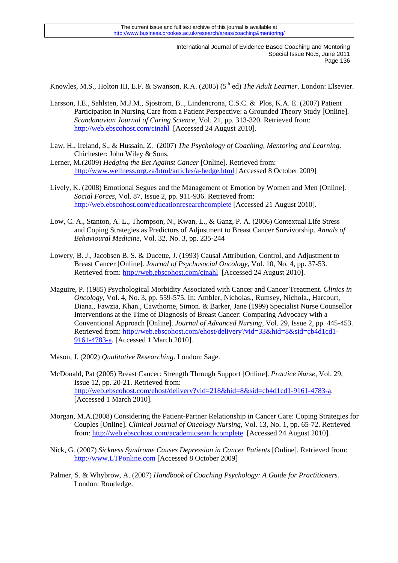Knowles, M.S., Holton III, E.F. & Swanson, R.A. (2005) (5th ed) *The Adult Learner*. London: Elsevier.

- Larsson, I.E., Sahlsten, M.J.M., Sjostrom, B.., Lindencrona, C.S.C. & Plos, K.A. E. (2007) Patient Participation in Nursing Care from a Patient Perspective: a Grounded Theory Study [Online]. *Scandanavian Journal of Caring Science,* Vol. 21, pp. 313-320. Retrieved from: http://web.ebscohost.com/cinahl [Accessed 24 August 2010].
- Law, H., Ireland, S., & Hussain, Z. (2007) *The Psychology of Coaching, Mentoring and Learning.* Chichester: John Wiley & Sons.
- Lerner, M.(2009) *Hedging the Bet Against Cancer* [Online]. Retrieved from: http://www.wellness.org.za/html/articles/a-hedge.html [Accessed 8 October 2009]
- Lively, K. (2008) Emotional Segues and the Management of Emotion by Women and Men [Online]. *Social Forces*, Vol. 87, Issue 2, pp. 911-936. Retrieved from: http://web.ebscohost.com/educationresearchcomplete [Accessed 21 August 2010].
- Low, C. A., Stanton, A. L., Thompson, N., Kwan, L., & Ganz, P. A. (2006) Contextual Life Stress and Coping Strategies as Predictors of Adjustment to Breast Cancer Survivorship. *Annals of Behavioural Medicine*, Vol. 32, No. 3, pp. 235-244
- Lowery, B. J., Jacobsen B. S. & Ducette, J. (1993) Causal Attribution, Control, and Adjustment to Breast Cancer [Online]. *Journal of Psychosocial Oncology*, Vol. 10, No. 4, pp. 37-53. Retrieved from: http://web.ebscohost.com/cinahl [Accessed 24 August 2010].
- Maguire, P. (1985) Psychological Morbidity Associated with Cancer and Cancer Treatment. *Clinics in Oncology*, Vol. 4, No. 3, pp. 559-575. In: Ambler, Nicholas., Rumsey, Nichola., Harcourt, Diana., Fawzia, Khan., Cawthorne, Simon. & Barker, Jane (1999) Specialist Nurse Counsellor Interventions at the Time of Diagnosis of Breast Cancer: Comparing Advocacy with a Conventional Approach [Online]. *Journal of Advanced Nursing*, Vol. 29, Issue 2, pp. 445-453. Retrieved from: http://web.ebscohost.com/ehost/delivery?vid=33&hid=8&sid=cb4d1cd1- 9161-4783-a. [Accessed 1 March 2010].
- Mason, J. (2002) *Qualitative Researching*. London: Sage.
- McDonald, Pat (2005) Breast Cancer: Strength Through Support [Online]. *Practice Nurse*, Vol. 29, Issue 12, pp. 20-21. Retrieved from: http://web.ebscohost.com/ehost/delivery?vid=218&hid=8&sid=cb4d1cd1-9161-4783-a. [Accessed 1 March 2010].
- Morgan, M.A.(2008) Considering the Patient-Partner Relationship in Cancer Care: Coping Strategies for Couples [Online]. *Clinical Journal of Oncology Nursing*, Vol. 13, No. 1, pp. 65-72. Retrieved from: http://web.ebscohost.com/academicsearchcomplete [Accessed 24 August 2010].
- Nick, G. (2007) *Sickness Syndrome Causes Depression in Cancer Patients* [Online]. Retrieved from: http://www.LTPonline.com [Accessed 8 October 2009]
- Palmer, S. & Whybrow, A. (2007) *Handbook of Coaching Psychology: A Guide for Practitioners.*  London: Routledge.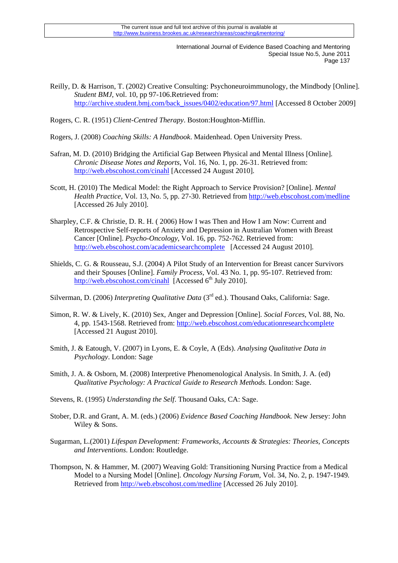Reilly, D. & Harrison, T. (2002) Creative Consulting: Psychoneuroimmunology, the Mindbody [Online]. *Student BMJ*, vol. 10, pp 97-106.Retrieved from: http://archive.student.bmj.com/back\_issues/0402/education/97.html [Accessed 8 October 2009]

Rogers, C. R. (1951) *Client-Centred Therapy*. Boston:Houghton-Mifflin.

Rogers, J. (2008) *Coaching Skills: A Handbook*. Maidenhead. Open University Press.

- Safran, M. D. (2010) Bridging the Artificial Gap Between Physical and Mental Illness [Online]. *Chronic Disease Notes and Reports*, Vol. 16, No. 1, pp. 26-31. Retrieved from: http://web.ebscohost.com/cinahl [Accessed 24 August 2010].
- Scott, H. (2010) The Medical Model: the Right Approach to Service Provision? [Online]. *Mental Health Practice,* Vol. 13, No. 5, pp. 27-30. Retrieved from http://web.ebscohost.com/medline [Accessed 26 July 2010].
- Sharpley, C.F. & Christie, D. R. H. ( 2006) How I was Then and How I am Now: Current and Retrospective Self-reports of Anxiety and Depression in Australian Women with Breast Cancer [Online]. *Psycho-Oncology*, Vol. 16, pp. 752-762. Retrieved from: http://web.ebscohost.com/academicsearchcomplete [Accessed 24 August 2010].
- Shields, C. G. & Rousseau, S.J. (2004) A Pilot Study of an Intervention for Breast cancer Survivors and their Spouses [Online]. *Family Process,* Vol. 43 No. 1, pp. 95-107. Retrieved from: http://web.ebscohost.com/cinahl [Accessed 6<sup>th</sup> July 2010].

Silverman, D. (2006) *Interpreting Qualitative Data* (3<sup>rd</sup> ed.). Thousand Oaks, California: Sage.

- Simon, R. W. & Lively, K. (2010) Sex, Anger and Depression [Online]. *Social Forces*, Vol. 88, No. 4, pp. 1543-1568. Retrieved from: http://web.ebscohost.com/educationresearchcomplete [Accessed 21 August 2010].
- Smith, J. & Eatough, V. (2007) in Lyons, E. & Coyle, A (Eds). *Analysing Qualitative Data in Psychology*. London: Sage
- Smith, J. A. & Osborn, M. (2008) Interpretive Phenomenological Analysis. In Smith, J. A. (ed) *Qualitative Psychology: A Practical Guide to Research Methods*. London: Sage.
- Stevens, R. (1995) *Understanding the Self*. Thousand Oaks, CA: Sage.
- Stober, D.R. and Grant, A. M. (eds.) (2006) *Evidence Based Coaching Handbook.* New Jersey: John Wiley & Sons.
- Sugarman, L.(2001) *Lifespan Development: Frameworks, Accounts & Strategies: Theories, Concepts and Interventions*. London: Routledge.
- Thompson, N. & Hammer, M. (2007) Weaving Gold: Transitioning Nursing Practice from a Medical Model to a Nursing Model [Online]. *Oncology Nursing Forum,* Vol. 34, No. 2, p. 1947-1949*.* Retrieved from http://web.ebscohost.com/medline [Accessed 26 July 2010].